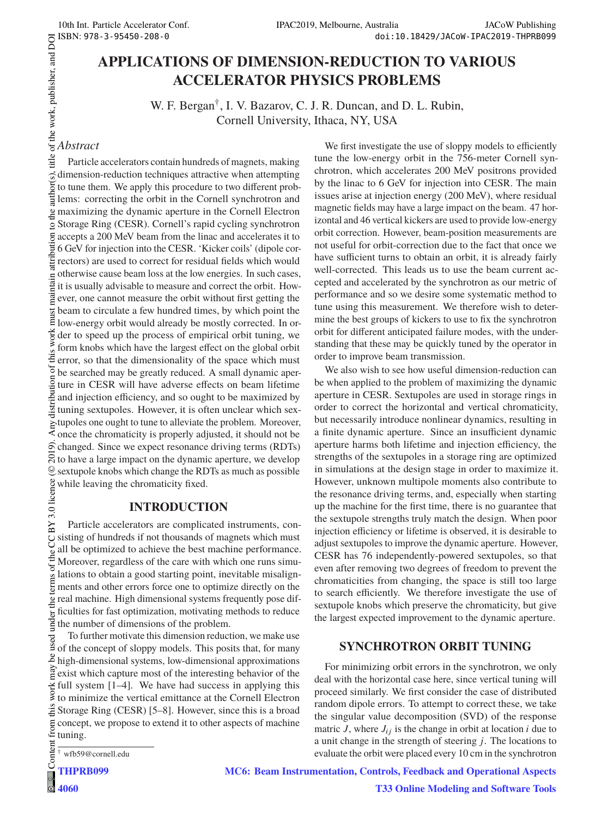# **APPLICATIONS OF DIMENSION-REDUCTION TO VARIOUS ACCELERATOR PHYSICS PROBLEMS**

W. F. Bergan†, I. V. Bazarov, C. J. R. Duncan, and D. L. Rubin, Cornell University, Ithaca, NY, USA

# *Abstract*

 2019). Any distribution of this work must maintain attribution to the author(s), title of the work, publisher, and DOI Particle accelerators contain hundreds of magnets, making dimension-reduction techniques attractive when attempting uthor(s). to tune them. We apply this procedure to two different problems: correcting the orbit in the Cornell synchrotron and maximizing the dynamic aperture in the Cornell Electron Storage Ring (CESR). Cornell's rapid cycling synchrotron accepts a 200 MeV beam from the linac and accelerates it to 6 GeV for injection into the CESR. 'Kicker coils' (dipole corittri rectors) are used to correct for residual fields which would otherwise cause beam loss at the low energies. In such cases, naintain it is usually advisable to measure and correct the orbit. However, one cannot measure the orbit without first getting the beam to circulate a few hundred times, by which point the ist  $\overline{a}$ low-energy orbit would already be mostly corrected. In orwork der to speed up the process of empirical orbit tuning, we form knobs which have the largest effect on the global orbit Ë error, so that the dimensionality of the space which must ď be searched may be greatly reduced. A small dynamic aperdistribution ture in CESR will have adverse effects on beam lifetime and injection efficiency, and so ought to be maximized by tuning sextupoles. However, it is often unclear which sextupoles one ought to tune to alleviate the problem. Moreover, once the chromaticity is properly adjusted, it should not be  $\widehat{\circ}$  changed. Since we expect resonance driving terms (RDTs)  $\overline{S}$  to have a large impact on the dynamic aperture, we develop  $\mathcal Q$  sextupole knobs which change the RDTs as much as possible while leaving the chromaticity fixed.

# **INTRODUCTION**

Particle accelerators are complicated instruments, consisting of hundreds if not thousands of magnets which must g all be optimized to achieve the best machine performance. is of the Moreover, regardless of the care with which one runs simulations to obtain a good starting point, inevitable misalign $em$ ments and other errors force one to optimize directly on the real machine. High dimensional systems frequently pose difficulties for fast optimization, motivating methods to reduce  $\overline{a}$ 百 the number of dimensions of the problem.

Content from this work may be used under the terms of the CC BY 3.0 licence ( $\epsilon$ To further motivate this dimension reduction, we make use use of the concept of sloppy models. This posits that, for many high-dimensional systems, low-dimensional approximations  $\frac{3}{2}$  exist which capture most of the interesting behavior of the full system [1–4]. We have had success in applying this to minimize the vertical emittance at the Cornell Electron this Storage Ring (CESR) [5–8]. However, since this is a broad from concept, we propose to extend it to other aspects of machine tuning.

† wfb59@cornell.edu

Conten **THPRB099**

We first investigate the use of sloppy models to efficiently tune the low-energy orbit in the 756-meter Cornell synchrotron, which accelerates 200 MeV positrons provided by the linac to 6 GeV for injection into CESR. The main issues arise at injection energy (200 MeV), where residual magnetic fields may have a large impact on the beam. 47 horizontal and 46 vertical kickers are used to provide low-energy orbit correction. However, beam-position measurements are not useful for orbit-correction due to the fact that once we have sufficient turns to obtain an orbit, it is already fairly well-corrected. This leads us to use the beam current accepted and accelerated by the synchrotron as our metric of performance and so we desire some systematic method to tune using this measurement. We therefore wish to determine the best groups of kickers to use to fix the synchrotron orbit for different anticipated failure modes, with the understanding that these may be quickly tuned by the operator in order to improve beam transmission.

We also wish to see how useful dimension-reduction can be when applied to the problem of maximizing the dynamic aperture in CESR. Sextupoles are used in storage rings in order to correct the horizontal and vertical chromaticity, but necessarily introduce nonlinear dynamics, resulting in a finite dynamic aperture. Since an insufficient dynamic aperture harms both lifetime and injection efficiency, the strengths of the sextupoles in a storage ring are optimized in simulations at the design stage in order to maximize it. However, unknown multipole moments also contribute to the resonance driving terms, and, especially when starting up the machine for the first time, there is no guarantee that the sextupole strengths truly match the design. When poor injection efficiency or lifetime is observed, it is desirable to adjust sextupoles to improve the dynamic aperture. However, CESR has 76 independently-powered sextupoles, so that even after removing two degrees of freedom to prevent the chromaticities from changing, the space is still too large to search efficiently. We therefore investigate the use of sextupole knobs which preserve the chromaticity, but give the largest expected improvement to the dynamic aperture.

## **SYNCHROTRON ORBIT TUNING**

For minimizing orbit errors in the synchrotron, we only deal with the horizontal case here, since vertical tuning will proceed similarly. We first consider the case of distributed random dipole errors. To attempt to correct these, we take the singular value decomposition (SVD) of the response matric *J*, where  $J_{ij}$  is the change in orbit at location *i* due to a unit change in the strength of steering *j*. The locations to evaluate the orbit were placed every 10 cm in the synchrotron

**MC6: Beam Instrumentation, Controls, Feedback and Operational Aspects**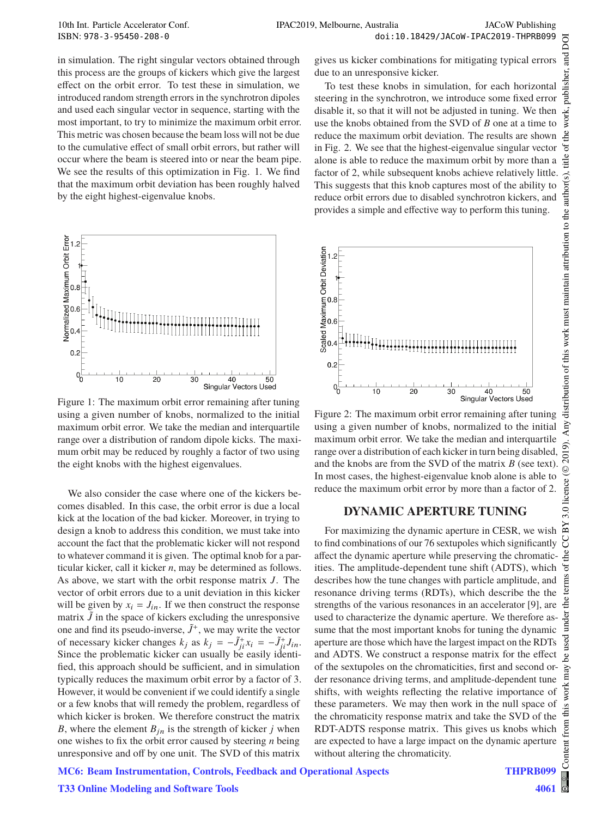in simulation. The right singular vectors obtained through this process are the groups of kickers which give the largest effect on the orbit error. To test these in simulation, we introduced random strength errors in the synchrotron dipoles and used each singular vector in sequence, starting with the most important, to try to minimize the maximum orbit error. This metric was chosen because the beam loss will not be due to the cumulative effect of small orbit errors, but rather will occur where the beam is steered into or near the beam pipe. We see the results of this optimization in Fig. 1. We find that the maximum orbit deviation has been roughly halved by the eight highest-eigenvalue knobs.



Figure 1: The maximum orbit error remaining after tuning using a given number of knobs, normalized to the initial maximum orbit error. We take the median and interquartile range over a distribution of random dipole kicks. The maximum orbit may be reduced by roughly a factor of two using the eight knobs with the highest eigenvalues.

We also consider the case where one of the kickers becomes disabled. In this case, the orbit error is due a local kick at the location of the bad kicker. Moreover, in trying to design a knob to address this condition, we must take into account the fact that the problematic kicker will not respond to whatever command it is given. The optimal knob for a particular kicker, call it kicker *n*, may be determined as follows. As above, we start with the orbit response matrix *J*. The vector of orbit errors due to a unit deviation in this kicker will be given by  $x_i = J_{in}$ . If we then construct the response matrix  $\tilde{J}$  in the space of kickers excluding the unresponsive one and find its pseudo-inverse,  $\tilde{J}^+$ , we may write the vector of necessary kicker changes  $k_j$  as  $k_j = -\tilde{J}_{ji}^+ x_i = -\tilde{J}_{ji}^+ J_{in}$ . Since the problematic kicker can usually be easily identified, this approach should be sufficient, and in simulation typically reduces the maximum orbit error by a factor of 3. However, it would be convenient if we could identify a single or a few knobs that will remedy the problem, regardless of which kicker is broken. We therefore construct the matrix *B*, where the element  $B_{in}$  is the strength of kicker *j* when one wishes to fix the orbit error caused by steering *n* being unresponsive and off by one unit. The SVD of this matrix

**T33 Online Modeling and Software Tools**

gives us kicker combinations for mitigating typical errors due to an unresponsive kicker.

To test these knobs in simulation, for each horizontal steering in the synchrotron, we introduce some fixed error disable it, so that it will not be adjusted in tuning. We then use the knobs obtained from the SVD of *B* one at a time to reduce the maximum orbit deviation. The results are shown in Fig. 2. We see that the highest-eigenvalue singular vector alone is able to reduce the maximum orbit by more than a factor of 2, while subsequent knobs achieve relatively little. This suggests that this knob captures most of the ability to reduce orbit errors due to disabled synchrotron kickers, and provides a simple and effective way to perform this tuning.



Figure 2: The maximum orbit error remaining after tuning using a given number of knobs, normalized to the initial maximum orbit error. We take the median and interquartile range over a distribution of each kicker in turn being disabled, and the knobs are from the SVD of the matrix *B* (see text). In most cases, the highest-eigenvalue knob alone is able to reduce the maximum orbit error by more than a factor of 2.

#### **DYNAMIC APERTURE TUNING**

For maximizing the dynamic aperture in CESR, we wish to find combinations of our 76 sextupoles which significantly affect the dynamic aperture while preserving the chromaticities. The amplitude-dependent tune shift (ADTS), which describes how the tune changes with particle amplitude, and resonance driving terms (RDTs), which describe the the strengths of the various resonances in an accelerator [9], are used to characterize the dynamic aperture. We therefore assume that the most important knobs for tuning the dynamic aperture are those which have the largest impact on the RDTs and ADTS. We construct a response matrix for the effect of the sextupoles on the chromaticities, first and second order resonance driving terms, and amplitude-dependent tune shifts, with weights reflecting the relative importance of these parameters. We may then work in the null space of the chromaticity response matrix and take the SVD of the RDT-ADTS response matrix. This gives us knobs which are expected to have a large impact on the dynamic aperture without altering the chromaticity.

**MC6: Beam Instrumentation, Controls, Feedback and Operational Aspects**